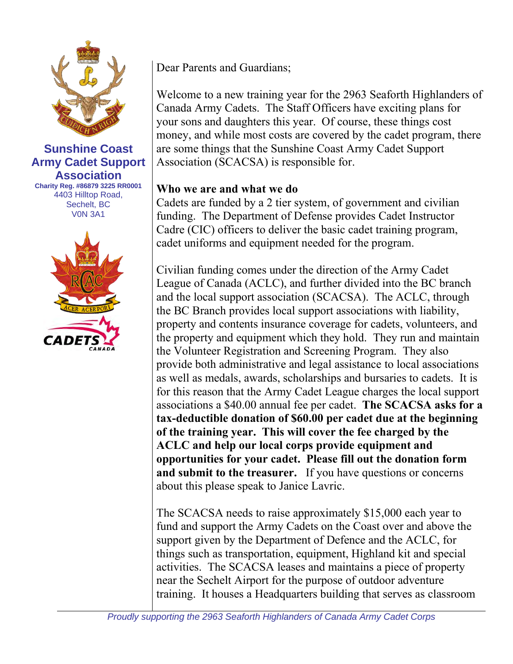

#### **Sunshine Coast Army Cadet Support Association Charity Reg. #86879 3225 RR0001** 4403 Hilltop Road, Sechelt, BC V0N 3A1



Dear Parents and Guardians;

Welcome to a new training year for the 2963 Seaforth Highlanders of Canada Army Cadets. The Staff Officers have exciting plans for your sons and daughters this year. Of course, these things cost money, and while most costs are covered by the cadet program, there are some things that the Sunshine Coast Army Cadet Support Association (SCACSA) is responsible for.

#### **Who we are and what we do**

Cadets are funded by a 2 tier system, of government and civilian funding. The Department of Defense provides Cadet Instructor Cadre (CIC) officers to deliver the basic cadet training program, cadet uniforms and equipment needed for the program.

Civilian funding comes under the direction of the Army Cadet League of Canada (ACLC), and further divided into the BC branch and the local support association (SCACSA). The ACLC, through the BC Branch provides local support associations with liability, property and contents insurance coverage for cadets, volunteers, and the property and equipment which they hold. They run and maintain the Volunteer Registration and Screening Program. They also provide both administrative and legal assistance to local associations as well as medals, awards, scholarships and bursaries to cadets. It is for this reason that the Army Cadet League charges the local support associations a \$40.00 annual fee per cadet. **The SCACSA asks for a tax-deductible donation of \$60.00 per cadet due at the beginning of the training year. This will cover the fee charged by the ACLC and help our local corps provide equipment and opportunities for your cadet. Please fill out the donation form and submit to the treasurer.** If you have questions or concerns about this please speak to Janice Lavric.

The SCACSA needs to raise approximately \$15,000 each year to fund and support the Army Cadets on the Coast over and above the support given by the Department of Defence and the ACLC, for things such as transportation, equipment, Highland kit and special activities. The SCACSA leases and maintains a piece of property near the Sechelt Airport for the purpose of outdoor adventure training. It houses a Headquarters building that serves as classroom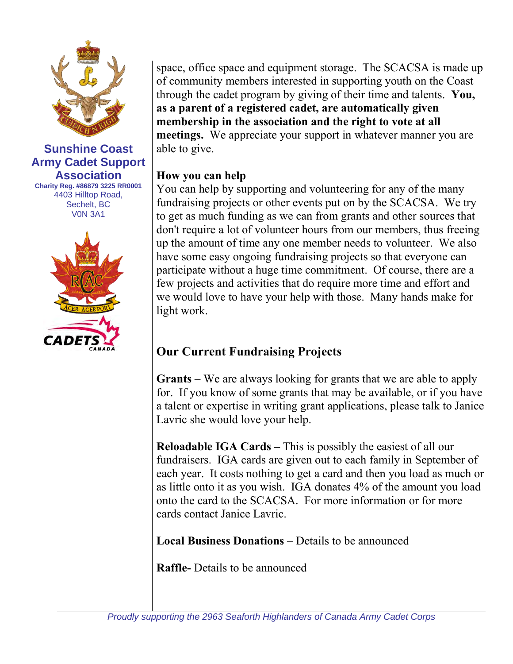

#### **Sunshine Coast Army Cadet Support Association Charity Reg. #86879 3225 RR0001** 4403 Hilltop Road, Sechelt, BC V0N 3A1



space, office space and equipment storage. The SCACSA is made up of community members interested in supporting youth on the Coast through the cadet program by giving of their time and talents. **You, as a parent of a registered cadet, are automatically given membership in the association and the right to vote at all meetings.** We appreciate your support in whatever manner you are able to give.

### **How you can help**

You can help by supporting and volunteering for any of the many fundraising projects or other events put on by the SCACSA. We try to get as much funding as we can from grants and other sources that don't require a lot of volunteer hours from our members, thus freeing up the amount of time any one member needs to volunteer. We also have some easy ongoing fundraising projects so that everyone can participate without a huge time commitment. Of course, there are a few projects and activities that do require more time and effort and we would love to have your help with those. Many hands make for light work.

# **Our Current Fundraising Projects**

**Grants –** We are always looking for grants that we are able to apply for. If you know of some grants that may be available, or if you have a talent or expertise in writing grant applications, please talk to Janice Lavric she would love your help.

**Reloadable IGA Cards –** This is possibly the easiest of all our fundraisers. IGA cards are given out to each family in September of each year. It costs nothing to get a card and then you load as much or as little onto it as you wish. IGA donates 4% of the amount you load onto the card to the SCACSA. For more information or for more cards contact Janice Lavric.

**Local Business Donations** – Details to be announced

**Raffle-** Details to be announced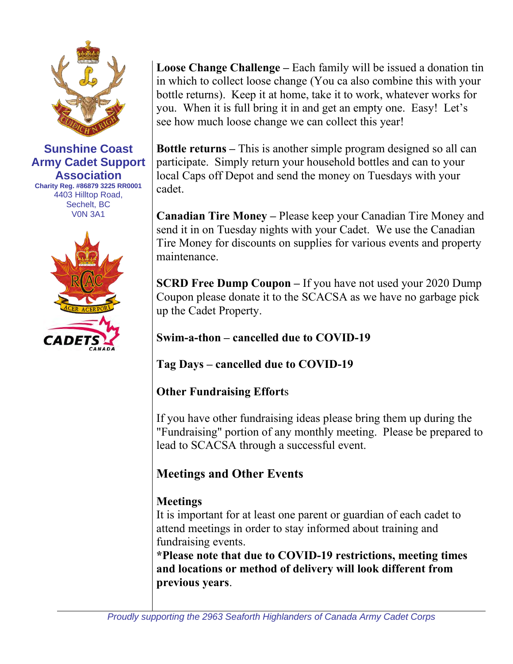

**Sunshine Coast Army Cadet Support Association Charity Reg. #86879 3225 RR0001** 4403 Hilltop Road, Sechelt, BC V0N 3A1



**Loose Change Challenge –** Each family will be issued a donation tin in which to collect loose change (You ca also combine this with your bottle returns). Keep it at home, take it to work, whatever works for you. When it is full bring it in and get an empty one. Easy! Let's see how much loose change we can collect this year!

**Bottle returns –** This is another simple program designed so all can participate. Simply return your household bottles and can to your local Caps off Depot and send the money on Tuesdays with your cadet.

**Canadian Tire Money –** Please keep your Canadian Tire Money and send it in on Tuesday nights with your Cadet. We use the Canadian Tire Money for discounts on supplies for various events and property maintenance.

**SCRD Free Dump Coupon –** If you have not used your 2020 Dump Coupon please donate it to the SCACSA as we have no garbage pick up the Cadet Property.

**Swim-a-thon – cancelled due to COVID-19**

**Tag Days – cancelled due to COVID-19**

**Other Fundraising Effort**s

If you have other fundraising ideas please bring them up during the "Fundraising" portion of any monthly meeting. Please be prepared to lead to SCACSA through a successful event.

# **Meetings and Other Events**

## **Meetings**

It is important for at least one parent or guardian of each cadet to attend meetings in order to stay informed about training and fundraising events.

**\*Please note that due to COVID-19 restrictions, meeting times and locations or method of delivery will look different from previous years**.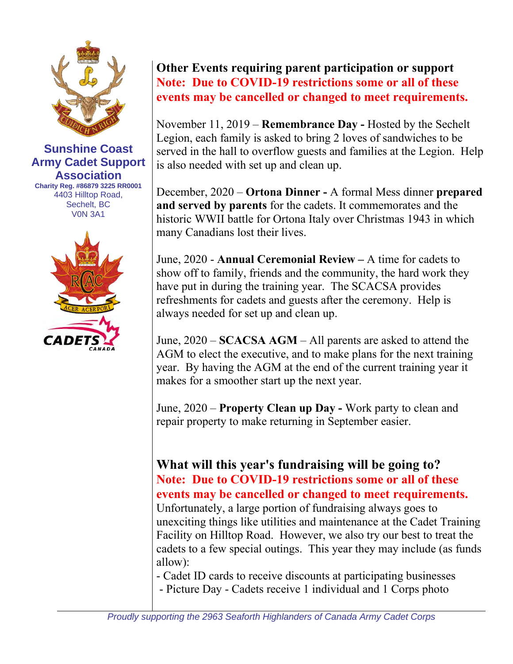

**Sunshine Coast Army Cadet Support Association Charity Reg. #86879 3225 RR0001** 4403 Hilltop Road, Sechelt, BC V0N 3A1



## **Other Events requiring parent participation or support Note: Due to COVID-19 restrictions some or all of these events may be cancelled or changed to meet requirements.**

November 11, 2019 – **Remembrance Day -** Hosted by the Sechelt Legion, each family is asked to bring 2 loves of sandwiches to be served in the hall to overflow guests and families at the Legion. Help is also needed with set up and clean up.

December, 2020 – **Ortona Dinner -** A formal Mess dinner **prepared and served by parents** for the cadets. It commemorates and the historic WWII battle for Ortona Italy over Christmas 1943 in which many Canadians lost their lives.

June, 2020 - **Annual Ceremonial Review –** A time for cadets to show off to family, friends and the community, the hard work they have put in during the training year. The SCACSA provides refreshments for cadets and guests after the ceremony. Help is always needed for set up and clean up.

June, 2020 – **SCACSA AGM** – All parents are asked to attend the AGM to elect the executive, and to make plans for the next training year. By having the AGM at the end of the current training year it makes for a smoother start up the next year.

June, 2020 – **Property Clean up Day -** Work party to clean and repair property to make returning in September easier.

## **What will this year's fundraising will be going to? Note: Due to COVID-19 restrictions some or all of these events may be cancelled or changed to meet requirements.**

Unfortunately, a large portion of fundraising always goes to unexciting things like utilities and maintenance at the Cadet Training Facility on Hilltop Road. However, we also try our best to treat the cadets to a few special outings. This year they may include (as funds allow):

- Cadet ID cards to receive discounts at participating businesses - Picture Day - Cadets receive 1 individual and 1 Corps photo